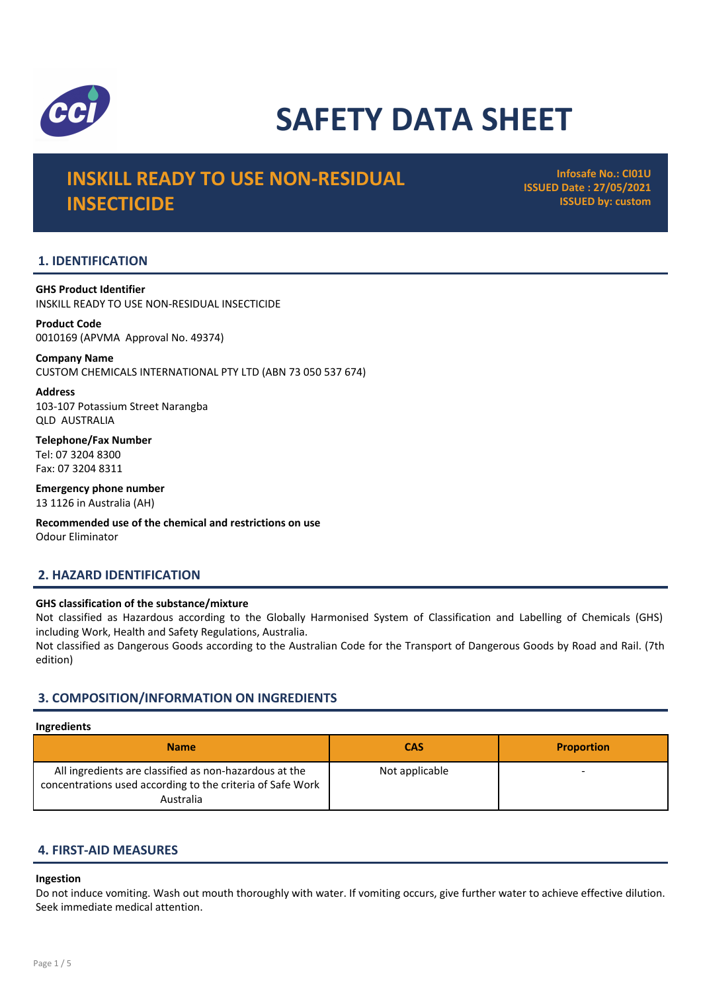

# SAFETY DATA SHEET

# INSKILL READY TO USE NON-RESIDUAL **INSECTICIDE**

Infosafe No.: CI01U ISSUED Date : 27/05/2021 ISSUED by: custom

# 1. IDENTIFICATION

GHS Product Identifier INSKILL READY TO USE NON-RESIDUAL INSECTICIDE

Product Code 0010169 (APVMA Approval No. 49374)

Company Name CUSTOM CHEMICALS INTERNATIONAL PTY LTD (ABN 73 050 537 674)

Address 103-107 Potassium Street Narangba QLD AUSTRALIA

Telephone/Fax Number Tel: 07 3204 8300 Fax: 07 3204 8311

Emergency phone number 13 1126 in Australia (AH)

Recommended use of the chemical and restrictions on use Odour Eliminator

# 2. HAZARD IDENTIFICATION

# GHS classification of the substance/mixture

Not classified as Hazardous according to the Globally Harmonised System of Classification and Labelling of Chemicals (GHS) including Work, Health and Safety Regulations, Australia.

Not classified as Dangerous Goods according to the Australian Code for the Transport of Dangerous Goods by Road and Rail. (7th edition)

# 3. COMPOSITION/INFORMATION ON INGREDIENTS

#### Ingredients

| <b>Name</b>                                                                                                                       | <b>CAS</b>     | <b>Proportion</b> |
|-----------------------------------------------------------------------------------------------------------------------------------|----------------|-------------------|
| All ingredients are classified as non-hazardous at the<br>concentrations used according to the criteria of Safe Work<br>Australia | Not applicable |                   |

# 4. FIRST-AID MEASURES

#### Ingestion

Do not induce vomiting. Wash out mouth thoroughly with water. If vomiting occurs, give further water to achieve effective dilution. Seek immediate medical attention.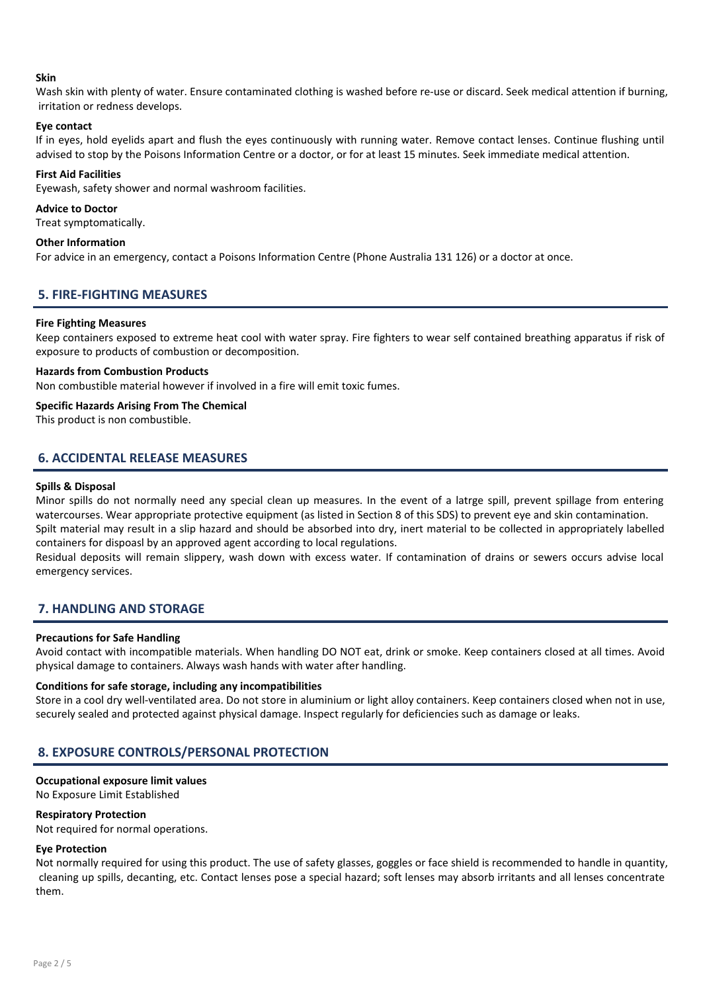#### Skin

Wash skin with plenty of water. Ensure contaminated clothing is washed before re-use or discard. Seek medical attention if burning, irritation or redness develops.

#### Eye contact

If in eyes, hold eyelids apart and flush the eyes continuously with running water. Remove contact lenses. Continue flushing until advised to stop by the Poisons Information Centre or a doctor, or for at least 15 minutes. Seek immediate medical attention.

#### First Aid Facilities

Eyewash, safety shower and normal washroom facilities.

#### Advice to Doctor

Treat symptomatically.

#### Other Information

For advice in an emergency, contact a Poisons Information Centre (Phone Australia 131 126) or a doctor at once.

#### 5. FIRE-FIGHTING MEASURES

#### Fire Fighting Measures

Keep containers exposed to extreme heat cool with water spray. Fire fighters to wear self contained breathing apparatus if risk of exposure to products of combustion or decomposition.

### Hazards from Combustion Products

Non combustible material however if involved in a fire will emit toxic fumes.

#### Specific Hazards Arising From The Chemical

This product is non combustible.

# 6. ACCIDENTAL RELEASE MEASURES

#### Spills & Disposal

Minor spills do not normally need any special clean up measures. In the event of a latrge spill, prevent spillage from entering watercourses. Wear appropriate protective equipment (as listed in Section 8 of this SDS) to prevent eye and skin contamination. Spilt material may result in a slip hazard and should be absorbed into dry, inert material to be collected in appropriately labelled containers for dispoasl by an approved agent according to local regulations.

Residual deposits will remain slippery, wash down with excess water. If contamination of drains or sewers occurs advise local emergency services.

# 7. HANDLING AND STORAGE

#### Precautions for Safe Handling

Avoid contact with incompatible materials. When handling DO NOT eat, drink or smoke. Keep containers closed at all times. Avoid physical damage to containers. Always wash hands with water after handling.

#### Conditions for safe storage, including any incompatibilities

Store in a cool dry well-ventilated area. Do not store in aluminium or light alloy containers. Keep containers closed when not in use, securely sealed and protected against physical damage. Inspect regularly for deficiencies such as damage or leaks.

# 8. EXPOSURE CONTROLS/PERSONAL PROTECTION

#### Occupational exposure limit values

No Exposure Limit Established

#### Respiratory Protection

Not required for normal operations.

#### Eye Protection

Not normally required for using this product. The use of safety glasses, goggles or face shield is recommended to handle in quantity, cleaning up spills, decanting, etc. Contact lenses pose a special hazard; soft lenses may absorb irritants and all lenses concentrate them.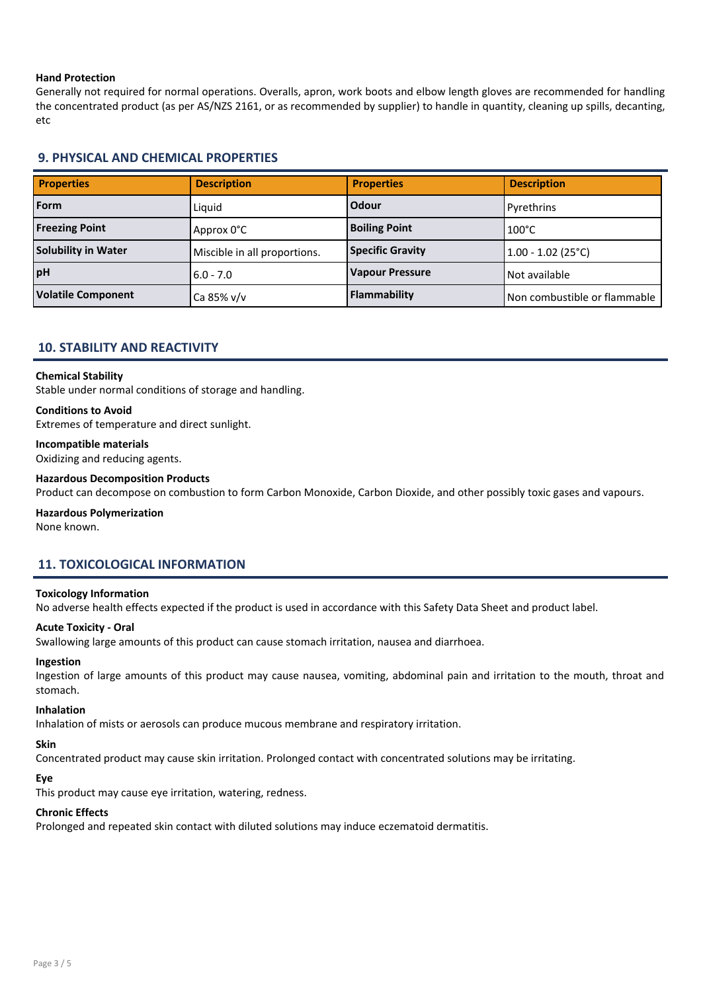#### Hand Protection

Generally not required for normal operations. Overalls, apron, work boots and elbow length gloves are recommended for handling the concentrated product (as per AS/NZS 2161, or as recommended by supplier) to handle in quantity, cleaning up spills, decanting, etc

# 9. PHYSICAL AND CHEMICAL PROPERTIES

| <b>Properties</b>          | <b>Description</b>           | <b>Properties</b>       | <b>Description</b>           |
|----------------------------|------------------------------|-------------------------|------------------------------|
| Form                       | Liauid                       | Odour                   | Pyrethrins                   |
| <b>Freezing Point</b>      | Approx 0°C                   | <b>Boiling Point</b>    | $100^{\circ}$ C              |
| <b>Solubility in Water</b> | Miscible in all proportions. | <b>Specific Gravity</b> | $1.00 - 1.02$ (25°C)         |
| pH                         | $6.0 - 7.0$                  | <b>Vapour Pressure</b>  | Not available                |
| <b>Volatile Component</b>  | Ca 85% v/v                   | Flammability            | Non combustible or flammable |

### 10. STABILITY AND REACTIVITY

#### Chemical Stability

Stable under normal conditions of storage and handling.

#### Conditions to Avoid

Extremes of temperature and direct sunlight.

#### Incompatible materials

Oxidizing and reducing agents.

#### Hazardous Decomposition Products

Product can decompose on combustion to form Carbon Monoxide, Carbon Dioxide, and other possibly toxic gases and vapours.

#### Hazardous Polymerization

None known.

# 11. TOXICOLOGICAL INFORMATION

#### Toxicology Information

No adverse health effects expected if the product is used in accordance with this Safety Data Sheet and product label.

#### Acute Toxicity - Oral

Swallowing large amounts of this product can cause stomach irritation, nausea and diarrhoea.

# Ingestion

Ingestion of large amounts of this product may cause nausea, vomiting, abdominal pain and irritation to the mouth, throat and stomach.

#### Inhalation

Inhalation of mists or aerosols can produce mucous membrane and respiratory irritation.

# Skin

Concentrated product may cause skin irritation. Prolonged contact with concentrated solutions may be irritating.

# Eye

This product may cause eye irritation, watering, redness.

#### Chronic Effects

Prolonged and repeated skin contact with diluted solutions may induce eczematoid dermatitis.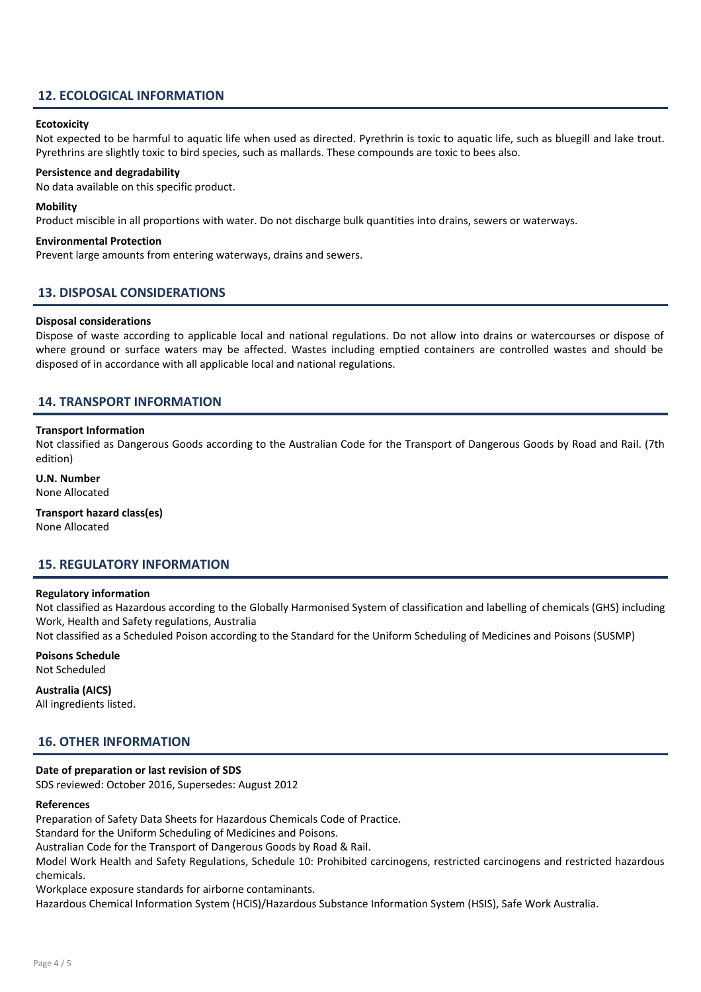# 12. ECOLOGICAL INFORMATION

#### **Ecotoxicity**

Not expected to be harmful to aquatic life when used as directed. Pyrethrin is toxic to aquatic life, such as bluegill and lake trout. Pyrethrins are slightly toxic to bird species, such as mallards. These compounds are toxic to bees also.

#### Persistence and degradability

No data available on this specific product.

#### Mobility

Product miscible in all proportions with water. Do not discharge bulk quantities into drains, sewers or waterways.

#### Environmental Protection

Prevent large amounts from entering waterways, drains and sewers.

#### 13. DISPOSAL CONSIDERATIONS

#### Disposal considerations

Dispose of waste according to applicable local and national regulations. Do not allow into drains or watercourses or dispose of where ground or surface waters may be affected. Wastes including emptied containers are controlled wastes and should be disposed of in accordance with all applicable local and national regulations.

#### 14. TRANSPORT INFORMATION

#### Transport Information

Not classified as Dangerous Goods according to the Australian Code for the Transport of Dangerous Goods by Road and Rail. (7th edition)

#### U.N. Number None Allocated

Transport hazard class(es)

None Allocated

#### 15. REGULATORY INFORMATION

#### Regulatory information

Not classified as Hazardous according to the Globally Harmonised System of classification and labelling of chemicals (GHS) including Work, Health and Safety regulations, Australia

Not classified as a Scheduled Poison according to the Standard for the Uniform Scheduling of Medicines and Poisons (SUSMP)

# Poisons Schedule

Not Scheduled

Australia (AICS) All ingredients listed.

#### 16. OTHER INFORMATION

#### Date of preparation or last revision of SDS

SDS reviewed: October 2016, Supersedes: August 2012

#### References

Preparation of Safety Data Sheets for Hazardous Chemicals Code of Practice.

Standard for the Uniform Scheduling of Medicines and Poisons.

Australian Code for the Transport of Dangerous Goods by Road & Rail.

Model Work Health and Safety Regulations, Schedule 10: Prohibited carcinogens, restricted carcinogens and restricted hazardous chemicals.

Workplace exposure standards for airborne contaminants.

Hazardous Chemical Information System (HCIS)/Hazardous Substance Information System (HSIS), Safe Work Australia.